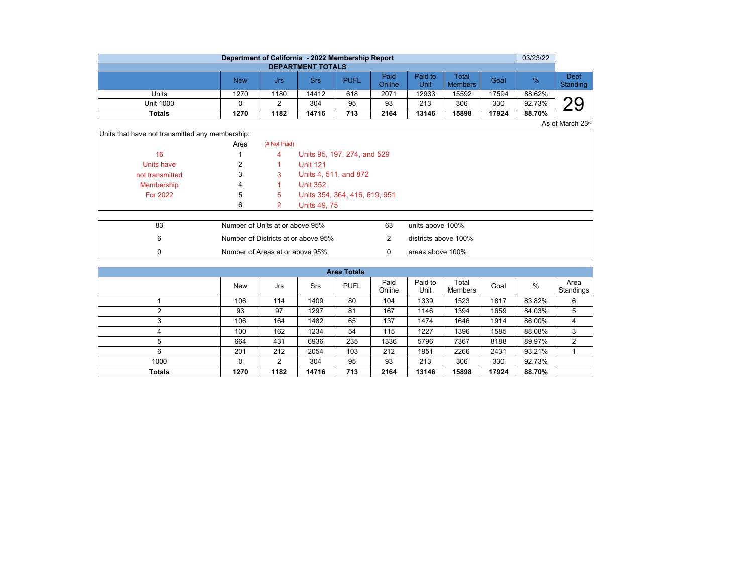|                          | Department of California - 2022 Membership Report |      |       |             |                |                 |                         |       | 03/23/22 |                  |  |  |  |  |
|--------------------------|---------------------------------------------------|------|-------|-------------|----------------|-----------------|-------------------------|-------|----------|------------------|--|--|--|--|
| <b>DEPARTMENT TOTALS</b> |                                                   |      |       |             |                |                 |                         |       |          |                  |  |  |  |  |
|                          | <b>New</b>                                        | Jrs  | Srs   | <b>PUFL</b> | Paid<br>Online | Paid to<br>Unit | Total<br><b>Members</b> | Goal  | $\%$     | Dept<br>Standing |  |  |  |  |
| Units                    | 1270                                              | 1180 | 14412 | 618         | 2071           | 12933           | 15592                   | 17594 | 88.62%   |                  |  |  |  |  |
| <b>Unit 1000</b>         |                                                   |      | 304   | 95          | 93             | 213             | 306                     | 330   | 92.73%   | nη               |  |  |  |  |
| <b>Totals</b>            | 1270                                              | 1182 | 14716 | 713         | 2164           | 13146           | 15898                   | 17924 | 88.70%   |                  |  |  |  |  |

 $\overline{$ As of March 23rd

| Units that have not transmitted any membership: |      |              |                               |
|-------------------------------------------------|------|--------------|-------------------------------|
|                                                 | Area | (# Not Paid) |                               |
| 16                                              |      | 4            | Units 95, 197, 274, and 529   |
| Units have                                      |      |              | <b>Unit 121</b>               |
| not transmitted                                 | 3    | 3            | Units 4, 511, and 872         |
| Membership                                      | 4    |              | <b>Unit 352</b>               |
| <b>For 2022</b>                                 | 5    | 5            | Units 354, 364, 416, 619, 951 |
|                                                 | 6    | 2            | <b>Units 49, 75</b>           |
|                                                 |      |              |                               |

| 83 | Number of Units at or above 95%     | 63 | units above 100%     |
|----|-------------------------------------|----|----------------------|
|    | Number of Districts at or above 95% |    | districts above 100% |
|    | Number of Areas at or above 95%     |    | areas above 100%     |

| <b>Area Totals</b> |      |      |            |             |                |                 |                  |       |        |                   |  |  |  |
|--------------------|------|------|------------|-------------|----------------|-----------------|------------------|-------|--------|-------------------|--|--|--|
|                    | New  | Jrs  | <b>Srs</b> | <b>PUFL</b> | Paid<br>Online | Paid to<br>Unit | Total<br>Members | Goal  | %      | Area<br>Standings |  |  |  |
|                    | 106  | 114  | 1409       | 80          | 104            | 1339            | 1523             | 1817  | 83.82% | 6                 |  |  |  |
| ◠                  | 93   | 97   | 1297       | 81          | 167            | 1146            | 1394             | 1659  | 84.03% | 5                 |  |  |  |
| 3                  | 106  | 164  | 1482       | 65          | 137            | 1474            | 1646             | 1914  | 86.00% | 4                 |  |  |  |
| 4                  | 100  | 162  | 1234       | 54          | 115            | 1227            | 1396             | 1585  | 88.08% | 3                 |  |  |  |
| 5                  | 664  | 431  | 6936       | 235         | 1336           | 5796            | 7367             | 8188  | 89.97% | $\overline{2}$    |  |  |  |
| 6                  | 201  | 212  | 2054       | 103         | 212            | 1951            | 2266             | 2431  | 93.21% |                   |  |  |  |
| 1000               | 0    | 2    | 304        | 95          | 93             | 213             | 306              | 330   | 92.73% |                   |  |  |  |
| <b>Totals</b>      | 1270 | 1182 | 14716      | 713         | 2164           | 13146           | 15898            | 17924 | 88.70% |                   |  |  |  |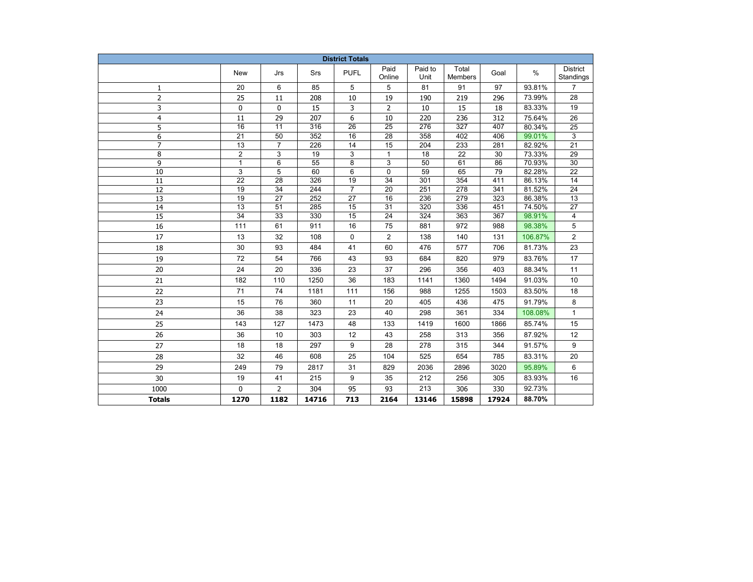| <b>District Totals</b>   |                 |                 |       |                 |                 |                 |                         |       |         |                       |  |
|--------------------------|-----------------|-----------------|-------|-----------------|-----------------|-----------------|-------------------------|-------|---------|-----------------------|--|
|                          | <b>New</b>      | Jrs             | Srs   | <b>PUFL</b>     | Paid<br>Online  | Paid to<br>Unit | Total<br><b>Members</b> | Goal  | $\%$    | District<br>Standings |  |
| 1                        | 20              | 6               | 85    | 5               | 5               | 81              | 91                      | 97    | 93.81%  | $\overline{7}$        |  |
| $\overline{2}$           | 25              | 11              | 208   | 10              | 19              | 190             | 219                     | 296   | 73.99%  | 28                    |  |
| 3                        | 0               | 0               | 15    | 3               | 2               | 10              | 15                      | 18    | 83.33%  | 19                    |  |
| $\overline{\mathcal{A}}$ | 11              | 29              | 207   | 6               | 10              | 220             | 236                     | 312   | 75.64%  | 26                    |  |
| 5                        | $\overline{16}$ | $\overline{11}$ | 316   | $\overline{26}$ | $\overline{25}$ | 276             | 327                     | 407   | 80.34%  | 25                    |  |
| 6                        | $\overline{21}$ | 50              | 352   | 16              | 28              | 358             | 402                     | 406   | 99.01%  | 3                     |  |
| $\overline{7}$           | $\overline{13}$ | $\overline{7}$  | 226   | 14              | 15              | 204             | 233                     | 281   | 82.92%  | $\overline{21}$       |  |
| 8                        | $\overline{2}$  | 3               | 19    | 3               | $\mathbf{1}$    | 18              | $\overline{22}$         | 30    | 73.33%  | 29                    |  |
| 9                        | $\mathbf{1}$    | 6               | 55    | 8               | 3               | 50              | 61                      | 86    | 70.93%  | 30                    |  |
| 10                       | 3               | 5               | 60    | 6               | 0               | 59              | 65                      | 79    | 82.28%  | 22                    |  |
| 11                       | 22              | 28              | 326   | 19              | 34              | 301             | 354                     | 411   | 86.13%  | 14                    |  |
| 12                       | 19              | 34              | 244   | $\overline{7}$  | 20              | 251             | 278                     | 341   | 81.52%  | 24                    |  |
| 13                       | 19              | 27              | 252   | 27              | 16              | 236             | 279                     | 323   | 86.38%  | 13                    |  |
| 14                       | $\overline{13}$ | 51              | 285   | 15              | $\overline{31}$ | 320             | 336                     | 451   | 74.50%  | 27                    |  |
| $\overline{15}$          | $\overline{34}$ | 33              | 330   | 15              | 24              | 324             | 363                     | 367   | 98.91%  | 4                     |  |
| 16                       | 111             | 61              | 911   | 16              | 75              | 881             | 972                     | 988   | 98.38%  | 5                     |  |
| 17                       | 13              | 32              | 108   | $\mathbf 0$     | $\overline{2}$  | 138             | 140                     | 131   | 106.87% | 2                     |  |
| 18                       | 30              | 93              | 484   | 41              | 60              | 476             | 577                     | 706   | 81.73%  | 23                    |  |
| 19                       | 72              | 54              | 766   | 43              | 93              | 684             | 820                     | 979   | 83.76%  | 17                    |  |
| 20                       | 24              | 20              | 336   | 23              | 37              | 296             | 356                     | 403   | 88.34%  | 11                    |  |
| 21                       | 182             | 110             | 1250  | 36              | 183             | 1141            | 1360                    | 1494  | 91.03%  | 10                    |  |
| 22                       | 71              | 74              | 1181  | 111             | 156             | 988             | 1255                    | 1503  | 83.50%  | 18                    |  |
| 23                       | 15              | 76              | 360   | 11              | 20              | 405             | 436                     | 475   | 91.79%  | 8                     |  |
| 24                       | 36              | 38              | 323   | 23              | 40              | 298             | 361                     | 334   | 108.08% | $\mathbf{1}$          |  |
| 25                       | 143             | 127             | 1473  | 48              | 133             | 1419            | 1600                    | 1866  | 85.74%  | 15                    |  |
| 26                       | 36              | 10              | 303   | 12              | 43              | 258             | 313                     | 356   | 87.92%  | 12                    |  |
| 27                       | 18              | 18              | 297   | 9               | 28              | 278             | 315                     | 344   | 91.57%  | 9                     |  |
| 28                       | 32              | 46              | 608   | 25              | 104             | 525             | 654                     | 785   | 83.31%  | 20                    |  |
| 29                       | 249             | 79              | 2817  | 31              | 829             | 2036            | 2896                    | 3020  | 95.89%  | 6                     |  |
| 30                       | 19              | 41              | 215   | 9               | 35              | 212             | 256                     | 305   | 83.93%  | 16                    |  |
| 1000                     | $\Omega$        | $\overline{2}$  | 304   | 95              | 93              | 213             | 306                     | 330   | 92.73%  |                       |  |
| <b>Totals</b>            | 1270            | 1182            | 14716 | 713             | 2164            | 13146           | 15898                   | 17924 | 88.70%  |                       |  |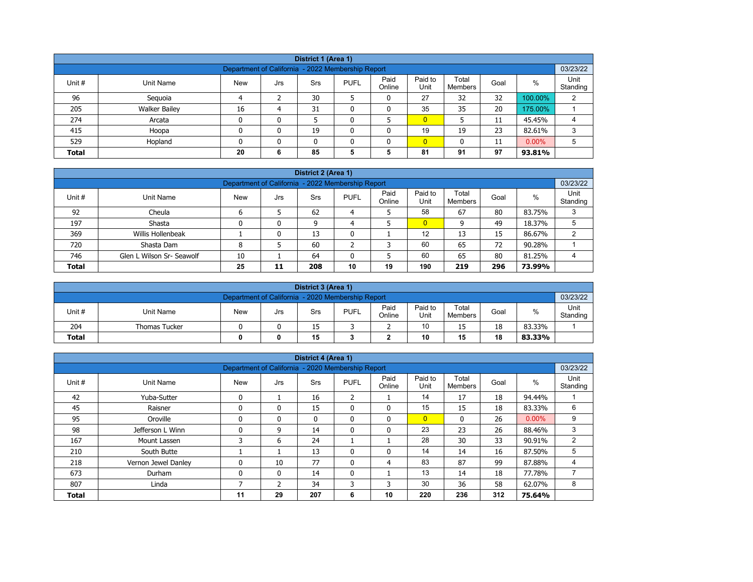| District 1 (Area 1)                                           |                                                                                                                                                         |    |   |    |   |   |                |    |    |         |   |  |  |  |
|---------------------------------------------------------------|---------------------------------------------------------------------------------------------------------------------------------------------------------|----|---|----|---|---|----------------|----|----|---------|---|--|--|--|
| 03/23/22<br>Department of California - 2022 Membership Report |                                                                                                                                                         |    |   |    |   |   |                |    |    |         |   |  |  |  |
| Unit #                                                        | Paid<br>Paid to<br>Total<br>$\%$<br><b>PUFL</b><br>Goal<br>Unit Name<br><b>New</b><br><b>Srs</b><br>Jrs<br>Online<br>Unit<br>Standing<br><b>Members</b> |    |   |    |   |   |                |    |    |         |   |  |  |  |
| 96                                                            | Seguoia                                                                                                                                                 | Δ  |   | 30 |   | 0 | 27             | 32 | 32 | 100.00% | 2 |  |  |  |
| 205                                                           | <b>Walker Bailey</b>                                                                                                                                    | 16 | 4 | 31 |   | 0 | 35             | 35 | 20 | 175.00% |   |  |  |  |
| 274                                                           | Arcata                                                                                                                                                  | 0  | 0 |    |   |   | $\overline{0}$ |    | 11 | 45.45%  | 4 |  |  |  |
| 415                                                           | Hoopa                                                                                                                                                   | 0  | 0 | 19 |   | 0 | 19             | 19 | 23 | 82.61%  | 3 |  |  |  |
| 529                                                           | $\overline{0}$<br>$0.00\%$<br>Hopland<br>5<br>0<br>$\mathbf{0}$<br>11<br>n<br>0                                                                         |    |   |    |   |   |                |    |    |         |   |  |  |  |
| <b>Total</b>                                                  |                                                                                                                                                         | 20 | 6 | 85 | 5 | 5 | 81             | 91 | 97 | 93.81%  |   |  |  |  |

| District 2 (Area 1) |                                                                                                                                                          |    |    |     |    |    |                |     |     |        |   |  |  |  |
|---------------------|----------------------------------------------------------------------------------------------------------------------------------------------------------|----|----|-----|----|----|----------------|-----|-----|--------|---|--|--|--|
|                     | 03/23/22<br>Department of California - 2022 Membership Report                                                                                            |    |    |     |    |    |                |     |     |        |   |  |  |  |
| Unit #              | Paid<br>Paid to<br>Unit<br>Total<br>$\%$<br><b>PUFL</b><br><b>New</b><br>Unit Name<br><b>Srs</b><br>Goal<br>Jrs<br>Online<br>Unit<br>Standing<br>Members |    |    |     |    |    |                |     |     |        |   |  |  |  |
| 92                  | Cheula                                                                                                                                                   |    |    | 62  | 4  |    | 58             | 67  | 80  | 83.75% | 3 |  |  |  |
| 197                 | Shasta                                                                                                                                                   |    | 0  | 9   | 4  |    | $\overline{0}$ | 9   | 49  | 18.37% |   |  |  |  |
| 369                 | Willis Hollenbeak                                                                                                                                        |    | 0  | 13  | 0  |    | 12             | 13  | 15  | 86.67% | ົ |  |  |  |
| 720                 | Shasta Dam                                                                                                                                               | 8  |    | 60  |    | っ  | 60             | 65  | 72  | 90.28% |   |  |  |  |
| 746                 | Glen L Wilson Sr- Seawolf                                                                                                                                | 10 |    | 64  |    | 5  | 60             | 65  | 80  | 81.25% | 4 |  |  |  |
| <b>Total</b>        |                                                                                                                                                          | 25 | 11 | 208 | 10 | 19 | 190            | 219 | 296 | 73.99% |   |  |  |  |

|              | District 3 (Area 1)                                                                                                               |  |  |    |  |   |    |    |    |        |                  |  |  |
|--------------|-----------------------------------------------------------------------------------------------------------------------------------|--|--|----|--|---|----|----|----|--------|------------------|--|--|
|              | 03/23/22<br>Department of California - 2020 Membership Report                                                                     |  |  |    |  |   |    |    |    |        |                  |  |  |
| Unit#        | Paid<br>Paid to<br>Total<br>%<br><b>PUFL</b><br><b>New</b><br>Unit Name<br>Goal<br>Srs<br>Jrs<br>Online<br>Unit<br><b>Members</b> |  |  |    |  |   |    |    |    |        | Unit<br>Standing |  |  |
| 204          | <b>Thomas Tucker</b>                                                                                                              |  |  | 15 |  | - | 10 | 15 | 18 | 83.33% |                  |  |  |
| <b>Total</b> | 15<br>10<br>18<br>15<br>83.33%<br>0                                                                                               |  |  |    |  |   |    |    |    |        |                  |  |  |

|              |                     |                                                   |              | District 4 (Area 1) |                |                |                 |                  |      |          |                  |
|--------------|---------------------|---------------------------------------------------|--------------|---------------------|----------------|----------------|-----------------|------------------|------|----------|------------------|
|              |                     | Department of California - 2020 Membership Report |              |                     |                |                |                 |                  |      |          | 03/23/22         |
| Unit #       | <b>Unit Name</b>    | <b>New</b>                                        | Jrs          | Srs                 | <b>PUFL</b>    | Paid<br>Online | Paid to<br>Unit | Total<br>Members | Goal | $\%$     | Unit<br>Standing |
| 42           | Yuba-Sutter         | $\mathbf{0}$                                      |              | 16                  | $\overline{2}$ |                | 14              | 17               | 18   | 94.44%   |                  |
| 45           | Raisner             | $\mathbf{0}$                                      | 0            | 15                  | 0              | $\mathbf{0}$   | 15              | 15               | 18   | 83.33%   | 6                |
| 95           | Oroville            | $\mathbf{0}$                                      | 0            | $\mathbf{0}$        | $\mathbf{0}$   | $\mathbf{0}$   | $\overline{0}$  | $\mathbf{0}$     | 26   | $0.00\%$ | 9                |
| 98           | Jefferson L Winn    | $\Omega$                                          | 9            | 14                  | 0              | 0              | 23              | 23               | 26   | 88.46%   | 3                |
| 167          | Mount Lassen        | 3                                                 | 6            | 24                  |                |                | 28              | 30               | 33   | 90.91%   | $\overline{2}$   |
| 210          | South Butte         |                                                   |              | 13                  | $\mathbf{0}$   | 0              | 14              | 14               | 16   | 87.50%   | 5                |
| 218          | Vernon Jewel Danley |                                                   | 10           | 77                  | $\Omega$       | 4              | 83              | 87               | 99   | 87.88%   | 4                |
| 673          | Durham              | $\mathbf{0}$                                      | $\mathbf{0}$ | 14                  | 0              |                | 13              | 14               | 18   | 77.78%   | 7                |
| 807          | Linda               |                                                   | 2            | 34                  | 3              | 3              | 30              | 36               | 58   | 62.07%   | 8                |
| <b>Total</b> |                     | 11                                                | 29           | 207                 | 6              | 10             | 220             | 236              | 312  | 75.64%   |                  |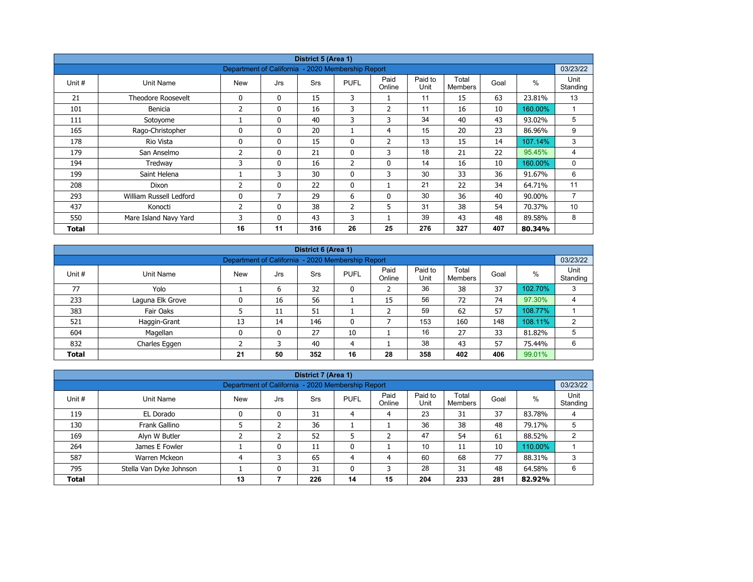|        |                           |                                                   |              | District 5 (Area 1) |              |                |                 |                         |      |         |                  |
|--------|---------------------------|---------------------------------------------------|--------------|---------------------|--------------|----------------|-----------------|-------------------------|------|---------|------------------|
|        |                           | Department of California - 2020 Membership Report |              |                     |              |                |                 |                         |      |         | 03/23/22         |
| Unit # | Unit Name                 | <b>New</b>                                        | Jrs          | Srs                 | <b>PUFL</b>  | Paid<br>Online | Paid to<br>Unit | Total<br><b>Members</b> | Goal | $\%$    | Unit<br>Standing |
| 21     | <b>Theodore Roosevelt</b> | $\Omega$                                          | $\mathbf{0}$ | 15                  | 3            |                | 11              | 15                      | 63   | 23.81%  | 13               |
| 101    | Benicia                   | 2                                                 | 0            | 16                  | 3            | $\overline{2}$ | 11              | 16                      | 10   | 160.00% |                  |
| 111    | Sotoyome                  |                                                   | $\mathbf{0}$ | 40                  | 3            | 3              | 34              | 40                      | 43   | 93.02%  | 5                |
| 165    | Rago-Christopher          | 0                                                 | 0            | 20                  |              | 4              | 15              | 20                      | 23   | 86.96%  | 9                |
| 178    | Rio Vista                 | $\mathbf{0}$                                      | $\mathbf{0}$ | 15                  | $\mathbf{0}$ | 2              | 13              | 15                      | 14   | 107.14% | 3                |
| 179    | San Anselmo               | $\overline{2}$                                    | $\mathbf{0}$ | 21                  | 0            | 3              | 18              | 21                      | 22   | 95.45%  | 4                |
| 194    | Tredway                   | 3                                                 | 0            | 16                  | 2            | $\mathbf 0$    | 14              | 16                      | 10   | 160.00% | 0                |
| 199    | Saint Helena              |                                                   | 3            | 30                  | $\mathbf{0}$ | 3              | 30              | 33                      | 36   | 91.67%  | 6                |
| 208    | Dixon                     | 2                                                 | $\mathbf{0}$ | 22                  | $\mathbf{0}$ | ÷.             | 21              | 22                      | 34   | 64.71%  | 11               |
| 293    | William Russell Ledford   | 0                                                 | 7            | 29                  | 6            | 0              | 30              | 36                      | 40   | 90.00%  | $\overline{7}$   |
| 437    | Konocti                   | 2                                                 | $\mathbf{0}$ | 38                  | 2            | 5              | 31              | 38                      | 54   | 70.37%  | 10               |
| 550    | Mare Island Navy Yard     | 3                                                 | $\mathbf{0}$ | 43                  | 3            |                | 39              | 43                      | 48   | 89.58%  | 8                |
| Total  |                           | 16                                                | 11           | 316                 | 26           | 25             | 276             | 327                     | 407  | 80.34%  |                  |

|              | District 6 (Area 1) |                                                   |     |            |              |                |                 |                         |      |         |                  |  |  |
|--------------|---------------------|---------------------------------------------------|-----|------------|--------------|----------------|-----------------|-------------------------|------|---------|------------------|--|--|
|              |                     | Department of California - 2020 Membership Report |     |            |              |                |                 |                         |      |         | 03/23/22         |  |  |
| Unit #       | Unit Name           | <b>New</b>                                        | Jrs | <b>Srs</b> | <b>PUFL</b>  | Paid<br>Online | Paid to<br>Unit | Total<br><b>Members</b> | Goal | %       | Unit<br>Standing |  |  |
| 77           | Yolo                |                                                   | 6   | 32         | 0            |                | 36              | 38                      | 37   | 102.70% | 3                |  |  |
| 233          | Laguna Elk Grove    |                                                   | 16  | 56         |              | 15             | 56              | 72                      | 74   | 97.30%  | 4                |  |  |
| 383          | Fair Oaks           |                                                   | 11  | 51         |              |                | 59              | 62                      | 57   | 108.77% |                  |  |  |
| 521          | Haggin-Grant        | 13                                                | 14  | 146        | $\mathbf{0}$ |                | 153             | 160                     | 148  | 108.11% | $\overline{2}$   |  |  |
| 604          | Magellan            | 0                                                 | 0   | 27         | 10           |                | 16              | 27                      | 33   | 81.82%  | 5                |  |  |
| 832          | Charles Eggen       |                                                   | 3   | 40         | 4            |                | 38              | 43                      | 57   | 75.44%  | 6                |  |  |
| <b>Total</b> |                     | 21                                                | 50  | 352        | 16           | 28             | 358             | 402                     | 406  | 99.01%  |                  |  |  |

|              |                                                                               |                                                   |     | District 7 (Area 1) |             |                |                 |                  |      |         |                  |
|--------------|-------------------------------------------------------------------------------|---------------------------------------------------|-----|---------------------|-------------|----------------|-----------------|------------------|------|---------|------------------|
|              |                                                                               | Department of California - 2020 Membership Report |     |                     |             |                |                 |                  |      |         | 03/23/22         |
| Unit #       | Unit Name                                                                     | <b>New</b>                                        | Jrs | Srs                 | <b>PUFL</b> | Paid<br>Online | Paid to<br>Unit | Total<br>Members | Goal | $\%$    | Unit<br>Standing |
| 119          | EL Dorado                                                                     |                                                   | 0   | 31                  | 4           | 4              | 23              | 31               | 37   | 83.78%  | 4                |
| 130          | Frank Gallino                                                                 |                                                   |     | 36                  |             |                | 36              | 38               | 48   | 79.17%  |                  |
| 169          | Alyn W Butler                                                                 |                                                   |     | 52                  |             |                | 47              | 54               | 61   | 88.52%  |                  |
| 264          | James E Fowler                                                                |                                                   | 0   | 11                  | 0           |                | 10              | 11               | 10   | 110.00% |                  |
| 587          | Warren Mckeon                                                                 |                                                   | 3   | 65                  | 4           | 4              | 60              | 68               | 77   | 88.31%  | 3                |
| 795          | 28<br>48<br>Stella Van Dyke Johnson<br>31<br>31<br>0<br>0<br>3<br>64.58%<br>6 |                                                   |     |                     |             |                |                 |                  |      |         |                  |
| <b>Total</b> |                                                                               | 13                                                |     | 226                 | 14          | 15             | 204             | 233              | 281  | 82.92%  |                  |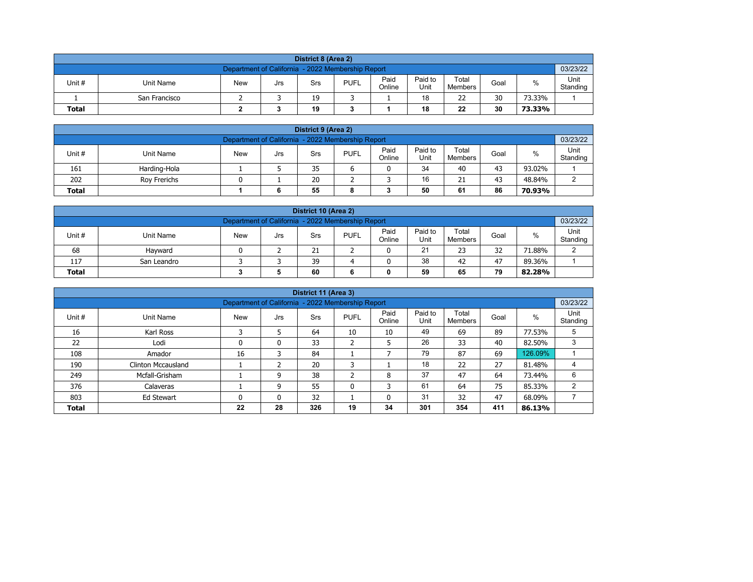| District 8 (Area 2)                                                                                                                                     |                                                               |  |  |    |  |  |    |    |    |        |  |  |  |  |
|---------------------------------------------------------------------------------------------------------------------------------------------------------|---------------------------------------------------------------|--|--|----|--|--|----|----|----|--------|--|--|--|--|
|                                                                                                                                                         | 03/23/22<br>Department of California - 2022 Membership Report |  |  |    |  |  |    |    |    |        |  |  |  |  |
| Paid<br>Paid to<br>Total<br><b>PUFL</b><br>%<br>Unit #<br>Unit Name<br><b>New</b><br>Goal<br>Srs<br>Jrs<br>Unit<br>Online<br>Standing<br><b>Members</b> |                                                               |  |  |    |  |  |    |    |    |        |  |  |  |  |
|                                                                                                                                                         | San Francisco                                                 |  |  | 19 |  |  | 18 | 22 | 30 | 73.33% |  |  |  |  |
| <b>Total</b>                                                                                                                                            | 22<br>30<br>19<br>18<br>73.33%                                |  |  |    |  |  |    |    |    |        |  |  |  |  |

| District 9 (Area 2)                                                                                                                             |              |  |  |    |  |  |    |    |    |        |   |  |  |
|-------------------------------------------------------------------------------------------------------------------------------------------------|--------------|--|--|----|--|--|----|----|----|--------|---|--|--|
| 03/23/22<br>Department of California - 2022 Membership Report                                                                                   |              |  |  |    |  |  |    |    |    |        |   |  |  |
| Paid<br>Paid to<br>Total<br>Unit#<br><b>PUFL</b><br>%<br><b>New</b><br>Unit Name<br>Goal<br>Srs<br>Jrs<br>Standing<br>Online<br>Unit<br>Members |              |  |  |    |  |  |    |    |    |        |   |  |  |
| 161                                                                                                                                             | Harding-Hola |  |  | 35 |  |  | 34 | 40 | 43 | 93.02% |   |  |  |
| 202                                                                                                                                             | Rov Frerichs |  |  | 20 |  |  | 16 | 21 | 43 | 48.84% | ົ |  |  |
| 50<br>86<br>55<br>61<br>70.93%<br><b>Total</b><br>6<br>8                                                                                        |              |  |  |    |  |  |    |    |    |        |   |  |  |

| District 10 (Area 2)                                                                                                                                |                                               |  |  |    |  |  |    |    |    |        |        |  |  |  |
|-----------------------------------------------------------------------------------------------------------------------------------------------------|-----------------------------------------------|--|--|----|--|--|----|----|----|--------|--------|--|--|--|
| 03/23/22<br>Department of California - 2022 Membership Report                                                                                       |                                               |  |  |    |  |  |    |    |    |        |        |  |  |  |
| Paid<br>Paid to<br>Total<br>$\%$<br>Unit #<br><b>PUFL</b><br>Unit Name<br><b>New</b><br>Goal<br>Srs<br>Jrs<br>Online<br>Standing<br>Unit<br>Members |                                               |  |  |    |  |  |    |    |    |        |        |  |  |  |
| 68                                                                                                                                                  | Havward                                       |  |  | 21 |  |  | 21 | 23 | 32 | 71.88% | $\sim$ |  |  |  |
| 117                                                                                                                                                 | 38<br>39<br>47<br>42<br>89.36%<br>San Leandro |  |  |    |  |  |    |    |    |        |        |  |  |  |
| 59<br>79<br><b>Total</b><br>60<br>65<br>82.28%                                                                                                      |                                               |  |  |    |  |  |    |    |    |        |        |  |  |  |

|              |                                                                                                                                                               |    |    | District 11 (Area 3) |              |    |     |     |     |         |   |  |  |  |  |
|--------------|---------------------------------------------------------------------------------------------------------------------------------------------------------------|----|----|----------------------|--------------|----|-----|-----|-----|---------|---|--|--|--|--|
|              | 03/23/22<br>Department of California - 2022 Membership Report                                                                                                 |    |    |                      |              |    |     |     |     |         |   |  |  |  |  |
| Unit #       | Paid<br>Paid to<br>Total<br>Unit<br>$\%$<br><b>New</b><br><b>PUFL</b><br>Goal<br>Unit Name<br><b>Srs</b><br>Jrs<br>Unit<br>Online<br>Standing<br>Members<br>C |    |    |                      |              |    |     |     |     |         |   |  |  |  |  |
| 16           | Karl Ross                                                                                                                                                     |    |    | 64                   | 10           | 10 | 49  | 69  | 89  | 77.53%  | 5 |  |  |  |  |
| 22           | Lodi                                                                                                                                                          | 0  | 0  | 33                   | h<br>∠       | 5  | 26  | 33  | 40  | 82.50%  | 3 |  |  |  |  |
| 108          | Amador                                                                                                                                                        | 16 | 3  | 84                   |              |    | 79  | 87  | 69  | 126.09% |   |  |  |  |  |
| 190          | <b>Clinton Mccausland</b>                                                                                                                                     |    |    | 20                   | 3            |    | 18  | 22  | 27  | 81.48%  |   |  |  |  |  |
| 249          | Mcfall-Grisham                                                                                                                                                |    | 9  | 38                   | C.<br>∠      | 8  | 37  | 47  | 64  | 73.44%  | 6 |  |  |  |  |
| 376          | Calaveras                                                                                                                                                     |    | 9  | 55                   | $\mathbf{0}$ | 3  | 61  | 64  | 75  | 85.33%  | 2 |  |  |  |  |
| 803          | 32<br>31<br>47<br>32<br>68.09%<br>Ed Stewart<br>$\mathbf{0}$<br>0<br>0                                                                                        |    |    |                      |              |    |     |     |     |         |   |  |  |  |  |
| <b>Total</b> |                                                                                                                                                               | 22 | 28 | 326                  | 19           | 34 | 301 | 354 | 411 | 86.13%  |   |  |  |  |  |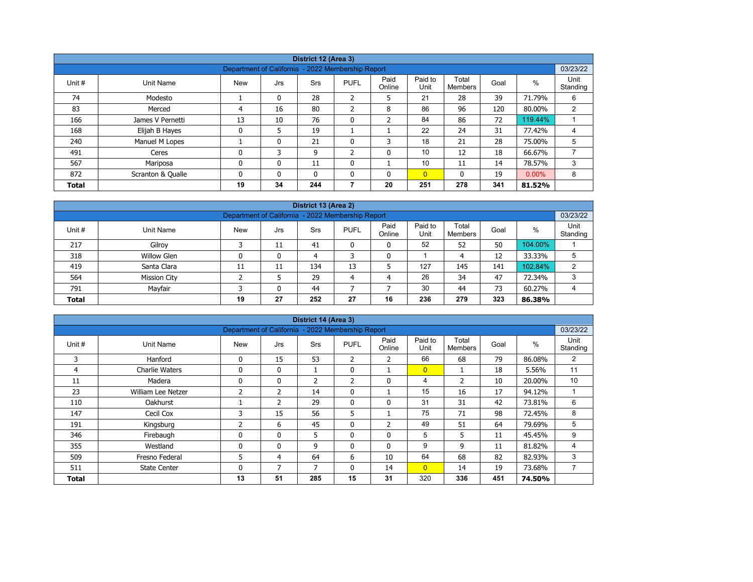| District 12 (Area 3) |                   |                                                   |              |            |                |                |                 |                         |      |          |                  |  |  |
|----------------------|-------------------|---------------------------------------------------|--------------|------------|----------------|----------------|-----------------|-------------------------|------|----------|------------------|--|--|
|                      |                   |                                                   |              |            |                |                |                 |                         |      |          |                  |  |  |
|                      |                   | Department of California - 2022 Membership Report |              |            |                |                |                 |                         |      |          | 03/23/22         |  |  |
| Unit #               | Unit Name         | <b>New</b>                                        | Jrs          | <b>Srs</b> | <b>PUFL</b>    | Paid<br>Online | Paid to<br>Unit | Total<br><b>Members</b> | Goal | %        | Unit<br>Standing |  |  |
| 74                   | Modesto           |                                                   | 0            | 28         | $\overline{2}$ | 5              | 21              | 28                      | 39   | 71.79%   | 6                |  |  |
| 83                   | Merced            | 4                                                 | 16           | 80         | $\overline{2}$ | 8              | 86              | 96                      | 120  | 80.00%   | 2                |  |  |
| 166                  | James V Pernetti  | 13                                                | 10           | 76         | $\mathbf{0}$   | $\overline{2}$ | 84              | 86                      | 72   | 119.44%  |                  |  |  |
| 168                  | Elijah B Hayes    | 0                                                 | 5            | 19         |                |                | 22              | 24                      | 31   | 77.42%   | 4                |  |  |
| 240                  | Manuel M Lopes    |                                                   | $\mathbf{0}$ | 21         | 0              | 3              | 18              | 21                      | 28   | 75.00%   | 5                |  |  |
| 491                  | Ceres             | 0                                                 | 3            | 9          | $\overline{2}$ | 0              | 10              | 12                      | 18   | 66.67%   |                  |  |  |
| 567                  | Mariposa          | 0                                                 | $\mathbf{0}$ | 11         | $\mathbf 0$    |                | 10              | 11                      | 14   | 78.57%   | 3                |  |  |
| 872                  | Scranton & Qualle | 0                                                 | $\Omega$     | 0          | $\Omega$       | 0              | $\overline{0}$  | $\mathbf{0}$            | 19   | $0.00\%$ | 8                |  |  |
| <b>Total</b>         |                   | 19                                                | 34           | 244        |                | 20             | 251             | 278                     | 341  | 81.52%   |                  |  |  |

| District 13 (Area 2)                                                                                                                    |                                                               |    |    |     |    |    |     |     |     |         |   |  |  |  |  |
|-----------------------------------------------------------------------------------------------------------------------------------------|---------------------------------------------------------------|----|----|-----|----|----|-----|-----|-----|---------|---|--|--|--|--|
|                                                                                                                                         | 03/23/22<br>Department of California - 2022 Membership Report |    |    |     |    |    |     |     |     |         |   |  |  |  |  |
| Paid to<br>Paid<br>Total<br>$\%$<br>Unit #<br><b>New</b><br><b>PUFL</b><br>Unit Name<br>Goal<br>Srs<br>Jrs<br>Online<br>Unit<br>Members |                                                               |    |    |     |    |    |     |     |     |         |   |  |  |  |  |
| 217                                                                                                                                     | Gilroy                                                        |    | 11 | 41  |    | 0  | 52  | 52  | 50  | 104.00% |   |  |  |  |  |
| 318                                                                                                                                     | <b>Willow Glen</b>                                            |    | 0  | 4   |    | 0  |     | 4   | 12  | 33.33%  | 5 |  |  |  |  |
| 419                                                                                                                                     | Santa Clara                                                   | 11 | 11 | 134 | 13 |    | 127 | 145 | 141 | 102.84% | C |  |  |  |  |
| 564                                                                                                                                     | <b>Mission City</b>                                           |    |    | 29  | 4  | 4  | 26  | 34  | 47  | 72.34%  | 3 |  |  |  |  |
| Mayfair<br>30<br>73<br>791<br>44<br>44<br>60.27%<br>$\mathbf{0}$                                                                        |                                                               |    |    |     |    |    |     |     |     |         |   |  |  |  |  |
| <b>Total</b>                                                                                                                            |                                                               | 19 | 27 | 252 | 27 | 16 | 236 | 279 | 323 | 86.38%  |   |  |  |  |  |

| District 14 (Area 3)<br>Department of California - 2022 Membership Report |                       |             |               |     |              |                |                 |                         |      |        |                  |  |  |
|---------------------------------------------------------------------------|-----------------------|-------------|---------------|-----|--------------|----------------|-----------------|-------------------------|------|--------|------------------|--|--|
|                                                                           |                       |             |               |     |              |                |                 |                         |      |        | 03/23/22         |  |  |
| Unit #                                                                    | Unit Name             | <b>New</b>  | Jrs           | Srs | <b>PUFL</b>  | Paid<br>Online | Paid to<br>Unit | Total<br><b>Members</b> | Goal | %      | Unit<br>Standing |  |  |
| 3                                                                         | Hanford               | 0           | 15            | 53  | 2            | 2              | 66              | 68                      | 79   | 86.08% | 2                |  |  |
| 4                                                                         | <b>Charlie Waters</b> | 0           | $\mathbf{0}$  | Τ.  | $\mathbf{0}$ |                | $\overline{0}$  |                         | 18   | 5.56%  | 11               |  |  |
| 11                                                                        | Madera                | 0           | 0             | 2   | 2            | 0              | 4               | $\overline{2}$          | 10   | 20.00% | 10               |  |  |
| 23                                                                        | William Lee Netzer    | 2           | 2             | 14  | $\mathbf{0}$ |                | 15              | 16                      | 17   | 94.12% |                  |  |  |
| 110                                                                       | <b>Oakhurst</b>       |             | $\mathcal{P}$ | 29  | 0            | 0              | 31              | 31                      | 42   | 73.81% | 6                |  |  |
| 147                                                                       | Cecil Cox             | 3           | 15            | 56  | 5            |                | 75              | 71                      | 98   | 72.45% | 8                |  |  |
| 191                                                                       | Kingsburg             | 2           | 6             | 45  | $\mathbf{0}$ | $\overline{2}$ | 49              | 51                      | 64   | 79.69% | 5                |  |  |
| 346                                                                       | Firebaugh             | 0           | $\mathbf{0}$  | 5   | 0            | 0              | 5               | 5                       | 11   | 45.45% | 9                |  |  |
| 355                                                                       | Westland              | $\mathbf 0$ | $\mathbf{0}$  | 9   | $\mathbf{0}$ | $\mathbf{0}$   | 9               | 9                       | 11   | 81.82% | 4                |  |  |
| 509                                                                       | Fresno Federal        | 5           | 4             | 64  | 6            | 10             | 64              | 68                      | 82   | 82.93% | 3                |  |  |
| 511                                                                       | <b>State Center</b>   | 0           | 7             | 7   | $\mathbf{0}$ | 14             | $\overline{0}$  | 14                      | 19   | 73.68% | 7                |  |  |
| Total                                                                     |                       | 13          | 51            | 285 | 15           | 31             | 320             | 336                     | 451  | 74.50% |                  |  |  |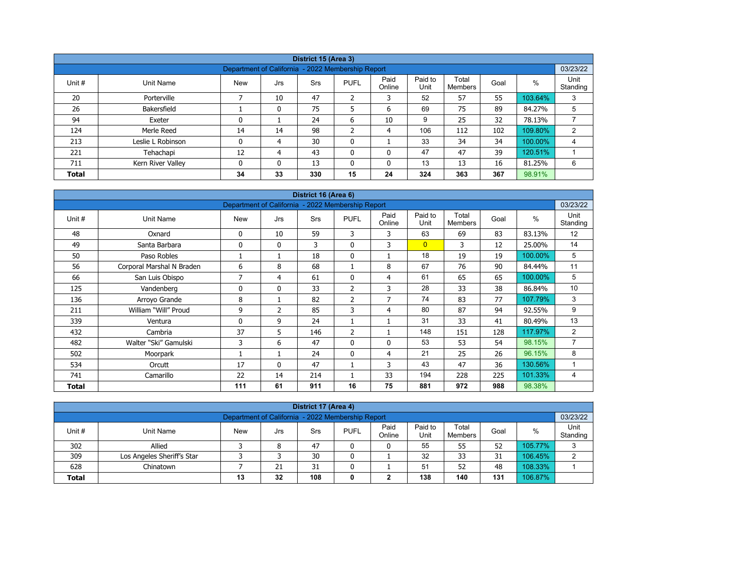|                                                                                                                                                                             |                   |                                                   |    | District 15 (Area 3) |                |                |     |     |     |         |          |  |  |
|-----------------------------------------------------------------------------------------------------------------------------------------------------------------------------|-------------------|---------------------------------------------------|----|----------------------|----------------|----------------|-----|-----|-----|---------|----------|--|--|
|                                                                                                                                                                             |                   | Department of California - 2022 Membership Report |    |                      |                |                |     |     |     |         | 03/23/22 |  |  |
| Paid<br>Paid to<br>Total<br>Unit<br>%<br>Unit #<br><b>PUFL</b><br>Goal<br>Unit Name<br><b>New</b><br><b>Srs</b><br>Jrs<br>Unit<br>Online<br><b>Members</b><br>Standing<br>⇁ |                   |                                                   |    |                      |                |                |     |     |     |         |          |  |  |
| 20                                                                                                                                                                          | Porterville       |                                                   | 10 | 47                   | $\overline{2}$ | 3              | 52  | 57  | 55  | 103.64% | 3        |  |  |
| 26                                                                                                                                                                          | Bakersfield       |                                                   |    | 75                   | 5              | 6              | 69  | 75  | 89  | 84.27%  | 5        |  |  |
| 94                                                                                                                                                                          | Exeter            | 0                                                 |    | 24                   | 6              | 10             | 9   | 25  | 32  | 78.13%  |          |  |  |
| 124                                                                                                                                                                         | Merle Reed        | 14                                                | 14 | 98                   | $\overline{2}$ | $\overline{4}$ | 106 | 112 | 102 | 109.80% | 2        |  |  |
| 213                                                                                                                                                                         | Leslie L Robinson | 0                                                 | 4  | 30                   | 0              |                | 33  | 34  | 34  | 100.00% | 4        |  |  |
| 221                                                                                                                                                                         | Tehachapi         | 12                                                | 4  | 43                   | 0              | 0              | 47  | 47  | 39  | 120.51% |          |  |  |
| 711                                                                                                                                                                         | Kern River Valley | 0                                                 | 0  | 13                   | 0              | 0              | 13  | 13  | 16  | 81.25%  | 6        |  |  |
| <b>Total</b>                                                                                                                                                                |                   | 34                                                | 33 | 330                  | 15             | 24             | 324 | 363 | 367 | 98.91%  |          |  |  |

| District 16 (Area 6)<br>Department of California - 2022 Membership Report |                           |             |              |     |                |                |                 |                         |      |         |                  |  |  |
|---------------------------------------------------------------------------|---------------------------|-------------|--------------|-----|----------------|----------------|-----------------|-------------------------|------|---------|------------------|--|--|
|                                                                           |                           |             |              |     |                |                |                 |                         |      |         | 03/23/22         |  |  |
| Unit #                                                                    | Unit Name                 | <b>New</b>  | Jrs          | Srs | <b>PUFL</b>    | Paid<br>Online | Paid to<br>Unit | Total<br><b>Members</b> | Goal | $\%$    | Unit<br>Standing |  |  |
| 48                                                                        | Oxnard                    | 0           | 10           | 59  | 3              | 3              | 63              | 69                      | 83   | 83.13%  | 12               |  |  |
| 49                                                                        | Santa Barbara             | $\mathbf 0$ | $\mathbf{0}$ | 3   | $\mathbf{0}$   | 3              | $\overline{0}$  | 3                       | 12   | 25.00%  | 14               |  |  |
| 50                                                                        | Paso Robles               |             | 1            | 18  | $\mathbf 0$    |                | 18              | 19                      | 19   | 100.00% | 5                |  |  |
| 56                                                                        | Corporal Marshal N Braden | 6           | 8            | 68  |                | 8              | 67              | 76                      | 90   | 84.44%  | 11               |  |  |
| 66                                                                        | San Luis Obispo           | 7           | 4            | 61  | $\mathbf{0}$   | 4              | 61              | 65                      | 65   | 100.00% | 5                |  |  |
| 125                                                                       | Vandenberg                | 0           | $\mathbf{0}$ | 33  | 2              | 3              | 28              | 33                      | 38   | 86.84%  | 10               |  |  |
| 136                                                                       | Arroyo Grande             | 8           | 1            | 82  | $\overline{2}$ | 7              | 74              | 83                      | 77   | 107.79% | 3                |  |  |
| 211                                                                       | William "Will" Proud      | 9           | 2            | 85  | 3              | 4              | 80              | 87                      | 94   | 92.55%  | 9                |  |  |
| 339                                                                       | Ventura                   | 0           | 9            | 24  |                |                | 31              | 33                      | 41   | 80.49%  | 13               |  |  |
| 432                                                                       | Cambria                   | 37          | 5            | 146 | $\overline{2}$ |                | 148             | 151                     | 128  | 117.97% | 2                |  |  |
| 482                                                                       | Walter "Ski" Gamulski     | 3           | 6            | 47  | $\mathbf{0}$   | $\Omega$       | 53              | 53                      | 54   | 98.15%  | $\overline{7}$   |  |  |
| 502                                                                       | Moorpark                  |             | 1            | 24  | $\mathbf{0}$   | 4              | 21              | 25                      | 26   | 96.15%  | 8                |  |  |
| 534                                                                       | Orcutt                    | 17          | $\mathbf{0}$ | 47  |                | 3              | 43              | 47                      | 36   | 130.56% |                  |  |  |
| 741                                                                       | Camarillo                 | 22          | 14           | 214 |                | 33             | 194             | 228                     | 225  | 101.33% | 4                |  |  |
| <b>Total</b>                                                              |                           | 111         | 61           | 911 | 16             | 75             | 881             | 972                     | 988  | 98.38%  |                  |  |  |

| District 17 (Area 4)                                                                                                                                     |                            |  |    |    |   |   |    |    |    |         |   |  |  |
|----------------------------------------------------------------------------------------------------------------------------------------------------------|----------------------------|--|----|----|---|---|----|----|----|---------|---|--|--|
| 03/23/22<br>Department of California - 2022 Membership Report                                                                                            |                            |  |    |    |   |   |    |    |    |         |   |  |  |
| Paid to<br>Paid<br>Unit<br>Total<br>%<br>Unit #<br><b>PUFL</b><br><b>New</b><br>Goal<br>Unit Name<br>Srs<br>Jrs<br>Unit<br>Standing<br>Online<br>Members |                            |  |    |    |   |   |    |    |    |         |   |  |  |
| 302                                                                                                                                                      | Allied                     |  | 8  | 47 |   | 0 | 55 | 55 | 52 | 105.77% | ີ |  |  |
| 309                                                                                                                                                      | Los Angeles Sheriff's Star |  |    | 30 |   |   | 32 | 33 | 31 | 106.45% |   |  |  |
| 628                                                                                                                                                      | Chinatown                  |  | 21 | 31 | 0 |   | 51 | 52 | 48 | 108.33% |   |  |  |
| 108<br>138<br>106.87%<br>32<br>140<br>131<br><b>Total</b><br>13<br>◠<br>0                                                                                |                            |  |    |    |   |   |    |    |    |         |   |  |  |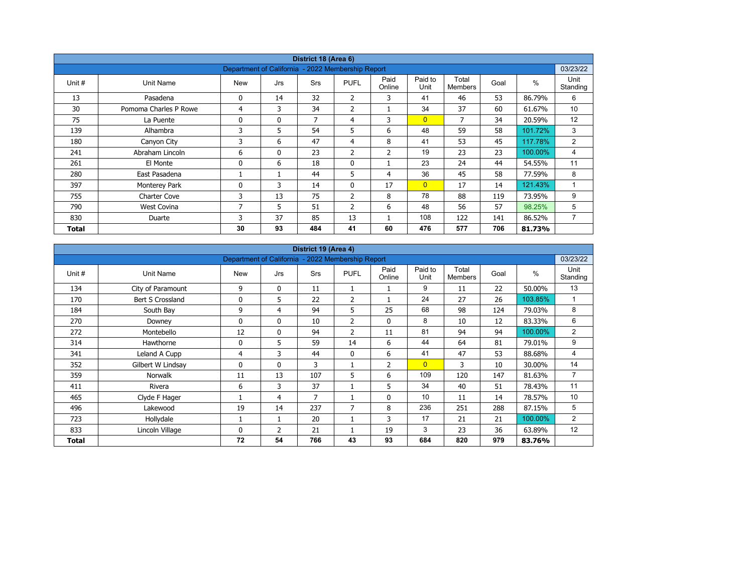|        |                       |                                                   |              | District 18 (Area 6) |                |                |                 |                         |      |               |                  |
|--------|-----------------------|---------------------------------------------------|--------------|----------------------|----------------|----------------|-----------------|-------------------------|------|---------------|------------------|
|        |                       | Department of California - 2022 Membership Report |              |                      |                |                |                 |                         |      |               | 03/23/22         |
| Unit # | Unit Name             | <b>New</b>                                        | Jrs          | <b>Srs</b>           | <b>PUFL</b>    | Paid<br>Online | Paid to<br>Unit | Total<br><b>Members</b> | Goal | $\frac{0}{0}$ | Unit<br>Standing |
| 13     | Pasadena              | 0                                                 | 14           | 32                   | 2              | 3              | 41              | 46                      | 53   | 86.79%        | 6                |
| 30     | Pomoma Charles P Rowe | 4                                                 | 3            | 34                   | 2              |                | 34              | 37                      | 60   | 61.67%        | 10               |
| 75     | La Puente             | 0                                                 | $\mathbf{0}$ | 7                    | 4              | 3              | $\overline{0}$  | 7                       | 34   | 20.59%        | 12               |
| 139    | Alhambra              | 3                                                 | 5            | 54                   | 5              | 6              | 48              | 59                      | 58   | 101.72%       | 3                |
| 180    | Canyon City           | 3                                                 | 6            | 47                   | $\overline{4}$ | 8              | 41              | 53                      | 45   | 117.78%       | 2                |
| 241    | Abraham Lincoln       | 6                                                 | $\mathbf{0}$ | 23                   | 2              | $\overline{2}$ | 19              | 23                      | 23   | 100.00%       | 4                |
| 261    | El Monte              | 0                                                 | 6            | 18                   | $\mathbf 0$    |                | 23              | 24                      | 44   | 54.55%        | 11               |
| 280    | East Pasadena         |                                                   |              | 44                   | 5              | 4              | 36              | 45                      | 58   | 77.59%        | 8                |
| 397    | Monterey Park         | 0                                                 | 3            | 14                   | $\mathbf{0}$   | 17             | $\overline{0}$  | 17                      | 14   | 121.43%       | 1                |
| 755    | Charter Cove          | 3                                                 | 13           | 75                   | $\overline{2}$ | 8              | 78              | 88                      | 119  | 73.95%        | 9                |
| 790    | West Covina           | 7                                                 | 5            | 51                   | $\overline{2}$ | 6              | 48              | 56                      | 57   | 98.25%        | 5                |
| 830    | Duarte                | 3                                                 | 37           | 85                   | 13             |                | 108             | 122                     | 141  | 86.52%        | 7                |
| Total  |                       | 30                                                | 93           | 484                  | 41             | 60             | 476             | 577                     | 706  | 81.73%        |                  |

| District 19 (Area 4) |                   |                                                   |                |     |                |                |                 |                         |      |         |                  |  |  |
|----------------------|-------------------|---------------------------------------------------|----------------|-----|----------------|----------------|-----------------|-------------------------|------|---------|------------------|--|--|
|                      |                   | Department of California - 2022 Membership Report |                |     |                |                |                 |                         |      |         | 03/23/22         |  |  |
| Unit #               | Unit Name         | <b>New</b>                                        | Jrs            | Srs | <b>PUFL</b>    | Paid<br>Online | Paid to<br>Unit | Total<br><b>Members</b> | Goal | $\%$    | Unit<br>Standing |  |  |
| 134                  | City of Paramount | 9                                                 | 0              | 11  |                |                | 9               | 11                      | 22   | 50.00%  | 13               |  |  |
| 170                  | Bert S Crossland  | $\Omega$                                          | 5              | 22  | 2              |                | 24              | 27                      | 26   | 103.85% | $\mathbf{1}$     |  |  |
| 184                  | South Bay         | 9                                                 | 4              | 94  | 5              | 25             | 68              | 98                      | 124  | 79.03%  | 8                |  |  |
| 270                  | Downey            | 0                                                 | $\mathbf{0}$   | 10  | $\overline{2}$ | $\Omega$       | 8               | 10                      | 12   | 83.33%  | 6                |  |  |
| 272                  | Montebello        | 12                                                | $\mathbf{0}$   | 94  | $\overline{2}$ | 11             | 81              | 94                      | 94   | 100.00% | $\overline{2}$   |  |  |
| 314                  | Hawthorne         | 0                                                 | 5              | 59  | 14             | 6              | 44              | 64                      | 81   | 79.01%  | 9                |  |  |
| 341                  | Leland A Cupp     | 4                                                 | 3              | 44  | $\mathbf{0}$   | 6              | 41              | 47                      | 53   | 88.68%  | 4                |  |  |
| 352                  | Gilbert W Lindsay | 0                                                 | $\mathbf{0}$   | 3   | 1              | $\overline{2}$ | $\overline{0}$  | 3                       | 10   | 30.00%  | 14               |  |  |
| 359                  | <b>Norwalk</b>    | 11                                                | 13             | 107 | 5              | 6              | 109             | 120                     | 147  | 81.63%  | $\overline{7}$   |  |  |
| 411                  | Rivera            | 6                                                 | 3              | 37  |                | 5              | 34              | 40                      | 51   | 78.43%  | 11               |  |  |
| 465                  | Clyde F Hager     |                                                   | 4              | 7   | $\mathbf{1}$   | 0              | 10              | 11                      | 14   | 78.57%  | 10               |  |  |
| 496                  | Lakewood          | 19                                                | 14             | 237 | 7              | 8              | 236             | 251                     | 288  | 87.15%  | 5                |  |  |
| 723                  | Hollydale         |                                                   |                | 20  | $\mathbf{1}$   | 3              | 17              | 21                      | 21   | 100.00% | $\overline{2}$   |  |  |
| 833                  | Lincoln Village   | $\Omega$                                          | $\overline{2}$ | 21  |                | 19             | 3               | 23                      | 36   | 63.89%  | 12               |  |  |
| Total                |                   | 72                                                | 54             | 766 | 43             | 93             | 684             | 820                     | 979  | 83.76%  |                  |  |  |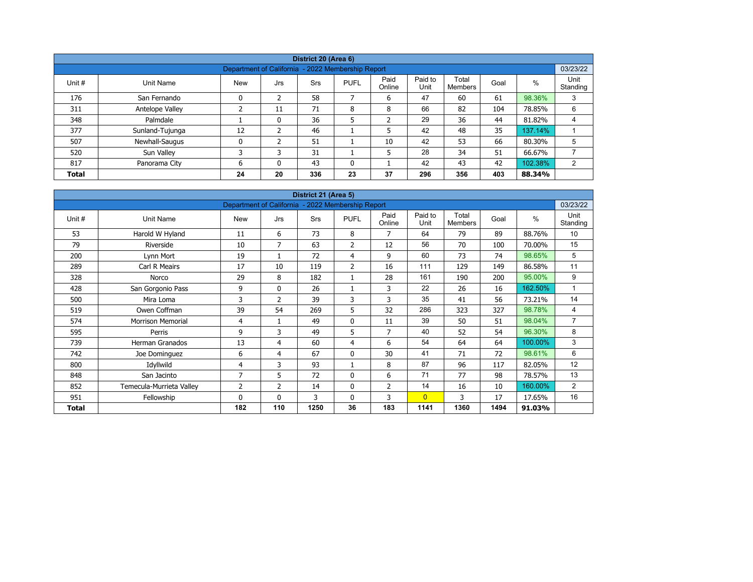| District 20 (Area 6) |                                                               |            |               |     |             |                |                 |                  |      |         |                  |  |  |  |  |
|----------------------|---------------------------------------------------------------|------------|---------------|-----|-------------|----------------|-----------------|------------------|------|---------|------------------|--|--|--|--|
|                      | 03/23/22<br>Department of California - 2022 Membership Report |            |               |     |             |                |                 |                  |      |         |                  |  |  |  |  |
| Unit #               | Unit Name                                                     | <b>New</b> | Jrs           | Srs | <b>PUFL</b> | Paid<br>Online | Paid to<br>Unit | Total<br>Members | Goal | $\%$    | Unit<br>Standing |  |  |  |  |
| 176                  | San Fernando                                                  | 0          | 2             | 58  |             | 6              | 47              | 60               | 61   | 98.36%  | 3                |  |  |  |  |
| 311                  | Antelope Valley                                               |            | 11            | 71  | 8           | 8              | 66              | 82               | 104  | 78.85%  | 6                |  |  |  |  |
| 348                  | Palmdale                                                      |            | 0             | 36  | 5           | ำ<br>∠         | 29              | 36               | 44   | 81.82%  | 4                |  |  |  |  |
| 377                  | Sunland-Tujunga                                               | 12         | $\mathcal{P}$ | 46  |             | 5              | 42              | 48               | 35   | 137.14% |                  |  |  |  |  |
| 507                  | Newhall-Saugus                                                | 0          |               | 51  |             | 10             | 42              | 53               | 66   | 80.30%  | 5                |  |  |  |  |
| 520                  | Sun Valley                                                    | 3          | 3             | 31  |             | 5              | 28              | 34               | 51   | 66.67%  |                  |  |  |  |  |
| 817                  | Panorama City                                                 | 6          | $\Omega$      | 43  | 0           |                | 42              | 43               | 42   | 102.38% | 2                |  |  |  |  |
| <b>Total</b>         |                                                               | 24         | 20            | 336 | 23          | 37             | 296             | 356              | 403  | 88.34%  |                  |  |  |  |  |

| District 21 (Area 5) |                          |                                                   |                |            |                |                |                 |                         |      |               |                  |  |  |
|----------------------|--------------------------|---------------------------------------------------|----------------|------------|----------------|----------------|-----------------|-------------------------|------|---------------|------------------|--|--|
|                      |                          | Department of California - 2022 Membership Report |                |            |                |                |                 |                         |      |               | 03/23/22         |  |  |
| Unit #               | <b>Unit Name</b>         | <b>New</b>                                        | Jrs            | <b>Srs</b> | <b>PUFL</b>    | Paid<br>Online | Paid to<br>Unit | Total<br><b>Members</b> | Goal | $\frac{0}{0}$ | Unit<br>Standing |  |  |
| 53                   | Harold W Hyland          | 11                                                | 6              | 73         | 8              | 7              | 64              | 79                      | 89   | 88.76%        | 10               |  |  |
| 79                   | Riverside                | 10                                                | 7              | 63         | 2              | 12             | 56              | 70                      | 100  | 70.00%        | 15               |  |  |
| 200                  | Lynn Mort                | 19                                                |                | 72         | 4              | 9              | 60              | 73                      | 74   | 98.65%        | 5                |  |  |
| 289                  | Carl R Meairs            | 17                                                | 10             | 119        | $\overline{2}$ | 16             | 111             | 129                     | 149  | 86.58%        | 11               |  |  |
| 328                  | Norco                    | 29                                                | 8              | 182        | 1              | 28             | 161             | 190                     | 200  | 95.00%        | 9                |  |  |
| 428                  | San Gorgonio Pass        | 9                                                 | $\mathbf{0}$   | 26         | 1              | 3              | 22              | 26                      | 16   | 162.50%       | 1                |  |  |
| 500                  | Mira Loma                | 3                                                 | $\overline{2}$ | 39         | 3              | 3              | 35              | 41                      | 56   | 73.21%        | 14               |  |  |
| 519                  | Owen Coffman             | 39                                                | 54             | 269        | 5              | 32             | 286             | 323                     | 327  | 98.78%        | 4                |  |  |
| 574                  | <b>Morrison Memorial</b> | 4                                                 | $\mathbf{1}$   | 49         | $\mathbf 0$    | 11             | 39              | 50                      | 51   | 98.04%        | $\overline{7}$   |  |  |
| 595                  | Perris                   | 9                                                 | 3              | 49         | 5              | 7              | 40              | 52                      | 54   | 96.30%        | 8                |  |  |
| 739                  | <b>Herman Granados</b>   | 13                                                | 4              | 60         | 4              | 6              | 54              | 64                      | 64   | 100.00%       | 3                |  |  |
| 742                  | Joe Dominguez            | 6                                                 | 4              | 67         | $\mathbf 0$    | 30             | 41              | 71                      | 72   | 98.61%        | 6                |  |  |
| 800                  | Idyllwild                | 4                                                 | 3              | 93         | $\mathbf{1}$   | 8              | 87              | 96                      | 117  | 82.05%        | 12               |  |  |
| 848                  | San Jacinto              | $\overline{7}$                                    | 5              | 72         | $\mathbf 0$    | 6              | 71              | 77                      | 98   | 78.57%        | 13               |  |  |
| 852                  | Temecula-Murrieta Valley | 2                                                 | 2              | 14         | 0              | 2              | 14              | 16                      | 10   | 160.00%       | $\overline{2}$   |  |  |
| 951                  | Fellowship               | $\Omega$                                          | $\mathbf{0}$   | 3          | $\mathbf{0}$   | 3              | $\overline{0}$  | 3                       | 17   | 17.65%        | 16               |  |  |
| Total                |                          | 182                                               | 110            | 1250       | 36             | 183            | 1141            | 1360                    | 1494 | 91.03%        |                  |  |  |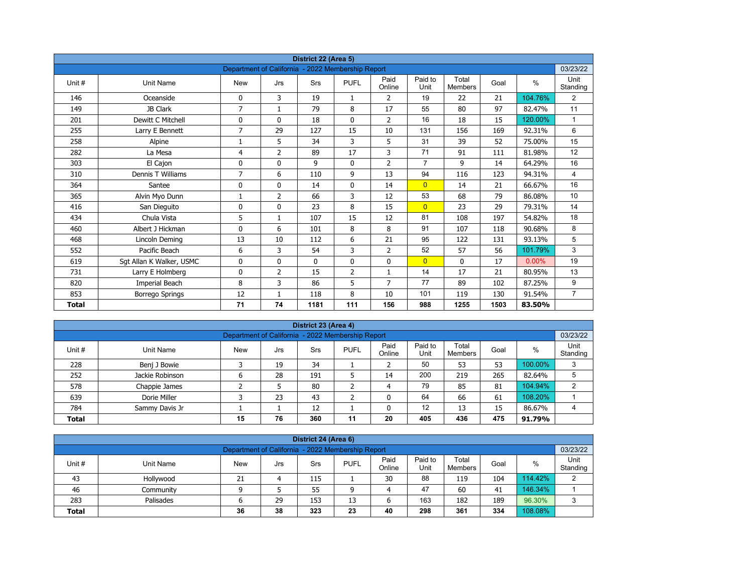| District 22 (Area 5) |                          |                                                   |                |             |                |                |                 |                         |      |          |                  |  |  |
|----------------------|--------------------------|---------------------------------------------------|----------------|-------------|----------------|----------------|-----------------|-------------------------|------|----------|------------------|--|--|
|                      |                          | Department of California - 2022 Membership Report |                |             |                |                |                 |                         |      |          | 03/23/22         |  |  |
| Unit#                | <b>Unit Name</b>         | <b>New</b>                                        | Jrs            | Srs         | <b>PUFL</b>    | Paid<br>Online | Paid to<br>Unit | Total<br><b>Members</b> | Goal | $\%$     | Unit<br>Standing |  |  |
| 146                  | Oceanside                | 0                                                 | 3              | 19          | $\mathbf{1}$   | 2              | 19              | 22                      | 21   | 104.76%  | 2                |  |  |
| 149                  | JB Clark                 | $\overline{7}$                                    | $\mathbf{1}$   | 79          | 8              | 17             | 55              | 80                      | 97   | 82.47%   | 11               |  |  |
| 201                  | Dewitt C Mitchell        | 0                                                 | $\mathbf{0}$   | 18          | $\mathbf{0}$   | $\overline{2}$ | 16              | 18                      | 15   | 120.00%  | $\mathbf{1}$     |  |  |
| 255                  | Larry E Bennett          | $\overline{7}$                                    | 29             | 127         | 15             | 10             | 131             | 156                     | 169  | 92.31%   | 6                |  |  |
| 258                  | Alpine                   | 1                                                 | 5              | 34          | 3              | 5              | 31              | 39                      | 52   | 75.00%   | 15               |  |  |
| 282                  | La Mesa                  | 4                                                 | $\overline{2}$ | 89          | 17             | 3              | 71              | 91                      | 111  | 81.98%   | 12               |  |  |
| 303                  | El Cajon                 | 0                                                 | 0              | 9           | $\mathbf 0$    | $\overline{2}$ | $\overline{7}$  | 9                       | 14   | 64.29%   | 16               |  |  |
| 310                  | Dennis T Williams        | 7                                                 | 6              | 110         | 9              | 13             | 94              | 116                     | 123  | 94.31%   | $\overline{4}$   |  |  |
| 364                  | Santee                   | 0                                                 | 0              | 14          | $\mathbf 0$    | 14             | $\overline{0}$  | 14                      | 21   | 66.67%   | 16               |  |  |
| 365                  | Alvin Myo Dunn           | 1                                                 | $\overline{2}$ | 66          | 3              | 12             | 53              | 68                      | 79   | 86.08%   | 10               |  |  |
| 416                  | San Dieguito             | 0                                                 | $\Omega$       | 23          | 8              | 15             | $\overline{0}$  | 23                      | 29   | 79.31%   | 14               |  |  |
| 434                  | Chula Vista              | 5                                                 | $\mathbf{1}$   | 107         | 15             | 12             | 81              | 108                     | 197  | 54.82%   | 18               |  |  |
| 460                  | Albert J Hickman         | 0                                                 | 6              | 101         | 8              | 8              | 91              | 107                     | 118  | 90.68%   | 8                |  |  |
| 468                  | Lincoln Deming           | 13                                                | 10             | 112         | 6              | 21             | 95              | 122                     | 131  | 93.13%   | 5                |  |  |
| 552                  | Pacific Beach            | 6                                                 | 3              | 54          | 3              | $\overline{2}$ | 52              | 57                      | 56   | 101.79%  | 3                |  |  |
| 619                  | Sgt Allan K Walker, USMC | 0                                                 | 0              | $\mathbf 0$ | $\mathbf 0$    | 0              | $\overline{0}$  | 0                       | 17   | $0.00\%$ | 19               |  |  |
| 731                  | Larry E Holmberg         | 0                                                 | 2              | 15          | $\overline{2}$ | $\mathbf{1}$   | 14              | 17                      | 21   | 80.95%   | 13               |  |  |
| 820                  | Imperial Beach           | 8                                                 | 3              | 86          | 5              | 7              | 77              | 89                      | 102  | 87.25%   | 9                |  |  |
| 853                  | <b>Borrego Springs</b>   | 12                                                | 1              | 118         | 8              | 10             | 101             | 119                     | 130  | 91.54%   | $\overline{7}$   |  |  |
| <b>Total</b>         |                          | 71                                                | 74             | 1181        | 111            | 156            | 988             | 1255                    | 1503 | 83.50%   |                  |  |  |

| District 23 (Area 4)                                                       |                                                               |            |     |            |             |                |                 |                  |      |         |                  |  |  |  |
|----------------------------------------------------------------------------|---------------------------------------------------------------|------------|-----|------------|-------------|----------------|-----------------|------------------|------|---------|------------------|--|--|--|
|                                                                            | 03/23/22<br>Department of California - 2022 Membership Report |            |     |            |             |                |                 |                  |      |         |                  |  |  |  |
| Unit #                                                                     | Unit Name                                                     | <b>New</b> | Jrs | <b>Srs</b> | <b>PUFL</b> | Paid<br>Online | Paid to<br>Unit | Total<br>Members | Goal | %       | Unit<br>Standing |  |  |  |
| 228                                                                        | Benj J Bowie                                                  |            | 19  | 34         |             |                | 50              | 53               | 53   | 100.00% | 3                |  |  |  |
| 252                                                                        | Jackie Robinson                                               | ь          | 28  | 191        |             | 14             | 200             | 219              | 265  | 82.64%  | 5                |  |  |  |
| 578                                                                        | Chappie James                                                 |            |     | 80         |             | 4              | 79              | 85               | 81   | 104.94% | 2                |  |  |  |
| 639                                                                        | Dorie Miller                                                  |            | 23  | 43         | ∍           |                | 64              | 66               | 61   | 108.20% |                  |  |  |  |
| 12<br>12<br>13<br>86.67%<br>784<br>15<br>Sammy Davis Jr                    |                                                               |            |     |            |             |                |                 |                  |      |         |                  |  |  |  |
| 76<br>475<br>360<br>11<br>20<br>405<br>436<br>15<br>91.79%<br><b>Total</b> |                                                               |            |     |            |             |                |                 |                  |      |         |                  |  |  |  |

| District 24 (Area 6)                                                                                                                                     |                                                               |    |    |     |    |    |     |     |     |         |   |  |  |  |
|----------------------------------------------------------------------------------------------------------------------------------------------------------|---------------------------------------------------------------|----|----|-----|----|----|-----|-----|-----|---------|---|--|--|--|
|                                                                                                                                                          | 03/23/22<br>Department of California - 2022 Membership Report |    |    |     |    |    |     |     |     |         |   |  |  |  |
| Paid to<br>Unit<br>Paid<br>Total<br>Unit #<br><b>PUFL</b><br>%<br>Goal<br>Unit Name<br>Srs<br><b>New</b><br>Jrs<br>Standing<br>Online<br>Unit<br>Members |                                                               |    |    |     |    |    |     |     |     |         |   |  |  |  |
| 43                                                                                                                                                       | Hollywood                                                     | 21 |    | 115 |    | 30 | 88  | 119 | 104 | 114.42% | ာ |  |  |  |
| 46                                                                                                                                                       | Community                                                     |    |    | 55  | a  |    | 47  | 60  | 41  | 146.34% |   |  |  |  |
| 283                                                                                                                                                      | Palisades                                                     |    | 29 | 153 | 13 | ь  | 163 | 182 | 189 | 96.30%  | ာ |  |  |  |
| 38<br>298<br>108.08%<br>323<br>23<br>40<br>361<br>334<br>36<br><b>Total</b>                                                                              |                                                               |    |    |     |    |    |     |     |     |         |   |  |  |  |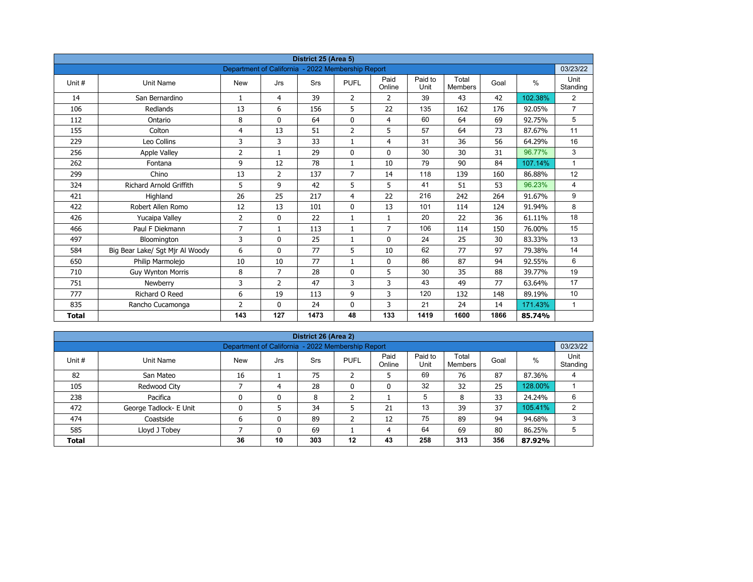| District 25 (Area 5)<br>Department of California - 2022 Membership Report |                                 |                |                |            |                |                |                 |                         |      |         |                  |  |  |
|---------------------------------------------------------------------------|---------------------------------|----------------|----------------|------------|----------------|----------------|-----------------|-------------------------|------|---------|------------------|--|--|
|                                                                           |                                 |                |                |            |                |                |                 |                         |      |         | 03/23/22         |  |  |
| Unit #                                                                    | Unit Name                       | <b>New</b>     | Jrs            | <b>Srs</b> | <b>PUFL</b>    | Paid<br>Online | Paid to<br>Unit | Total<br><b>Members</b> | Goal | $\%$    | Unit<br>Standing |  |  |
| 14                                                                        | San Bernardino                  | $\mathbf{1}$   | 4              | 39         | $\overline{2}$ | $\overline{2}$ | 39              | 43                      | 42   | 102.38% | $\overline{2}$   |  |  |
| 106                                                                       | Redlands                        | 13             | 6              | 156        | 5              | 22             | 135             | 162                     | 176  | 92.05%  | $\overline{7}$   |  |  |
| 112                                                                       | Ontario                         | 8              | $\Omega$       | 64         | $\mathbf{0}$   | $\overline{4}$ | 60              | 64                      | 69   | 92.75%  | 5                |  |  |
| 155                                                                       | Colton                          | 4              | 13             | 51         | $\overline{2}$ | 5              | 57              | 64                      | 73   | 87.67%  | 11               |  |  |
| 229                                                                       | Leo Collins                     | 3              | 3              | 33         | $\mathbf{1}$   | $\overline{4}$ | 31              | 36                      | 56   | 64.29%  | 16               |  |  |
| 256                                                                       | <b>Apple Valley</b>             | 2              | $\mathbf{1}$   | 29         | $\mathbf{0}$   | $\mathbf{0}$   | 30              | 30                      | 31   | 96.77%  | 3                |  |  |
| 262                                                                       | Fontana                         | 9              | 12             | 78         | $\mathbf{1}$   | 10             | 79              | 90                      | 84   | 107.14% | $\mathbf{1}$     |  |  |
| 299                                                                       | Chino                           | 13             | $\overline{2}$ | 137        | $\overline{7}$ | 14             | 118             | 139                     | 160  | 86.88%  | 12               |  |  |
| 324                                                                       | <b>Richard Arnold Griffith</b>  | 5              | 9              | 42         | 5              | 5              | 41              | 51                      | 53   | 96.23%  | 4                |  |  |
| 421                                                                       | Highland                        | 26             | 25             | 217        | 4              | 22             | 216             | 242                     | 264  | 91.67%  | 9                |  |  |
| 422                                                                       | Robert Allen Romo               | 12             | 13             | 101        | $\mathbf{0}$   | 13             | 101             | 114                     | 124  | 91.94%  | 8                |  |  |
| 426                                                                       | Yucaipa Valley                  | $\overline{2}$ | 0              | 22         | $\mathbf{1}$   | $\mathbf{1}$   | 20              | 22                      | 36   | 61.11%  | 18               |  |  |
| 466                                                                       | Paul F Diekmann                 | $\overline{7}$ | $\mathbf{1}$   | 113        | $\mathbf{1}$   | $\overline{7}$ | 106             | 114                     | 150  | 76.00%  | 15               |  |  |
| 497                                                                       | Bloomington                     | 3              | 0              | 25         | $\mathbf{1}$   | $\mathbf 0$    | 24              | 25                      | 30   | 83.33%  | 13               |  |  |
| 584                                                                       | Big Bear Lake/ Sgt Mjr Al Woody | 6              | $\mathbf{0}$   | 77         | 5              | 10             | 62              | 77                      | 97   | 79.38%  | 14               |  |  |
| 650                                                                       | Philip Marmolejo                | 10             | 10             | 77         | $\mathbf{1}$   | 0              | 86              | 87                      | 94   | 92.55%  | 6                |  |  |
| 710                                                                       | <b>Guy Wynton Morris</b>        | 8              | $\overline{7}$ | 28         | $\mathbf{0}$   | 5              | 30              | 35                      | 88   | 39.77%  | 19               |  |  |
| 751                                                                       | Newberry                        | 3              | $\overline{2}$ | 47         | 3              | 3              | 43              | 49                      | 77   | 63.64%  | 17               |  |  |
| 777                                                                       | Richard O Reed                  | 6              | 19             | 113        | 9              | 3              | 120             | 132                     | 148  | 89.19%  | 10               |  |  |
| 835                                                                       | Rancho Cucamonga                | $\overline{2}$ | $\mathbf{0}$   | 24         | 0              | 3              | 21              | 24                      | 14   | 171.43% | $\mathbf{1}$     |  |  |
| <b>Total</b>                                                              |                                 | 143            | 127            | 1473       | 48             | 133            | 1419            | 1600                    | 1866 | 85.74%  |                  |  |  |

| District 26 (Area 2) |                                                               |            |     |            |                             |                |                 |                  |      |         |                  |  |  |  |  |
|----------------------|---------------------------------------------------------------|------------|-----|------------|-----------------------------|----------------|-----------------|------------------|------|---------|------------------|--|--|--|--|
|                      | 03/23/22<br>Department of California - 2022 Membership Report |            |     |            |                             |                |                 |                  |      |         |                  |  |  |  |  |
| Unit #               | Unit Name                                                     | <b>New</b> | Jrs | <b>Srs</b> | <b>PUFL</b>                 | Paid<br>Online | Paid to<br>Unit | Total<br>Members | Goal | $\%$    | Unit<br>Standing |  |  |  |  |
| 82                   | San Mateo                                                     | 16         |     | 75         | $\mathbf{\overline{}}$<br>∠ | 5              | 69              | 76               | 87   | 87.36%  | 4                |  |  |  |  |
| 105                  | Redwood City                                                  |            | 4   | 28         | 0                           | $\mathbf{0}$   | 32              | 32               | 25   | 128.00% |                  |  |  |  |  |
| 238                  | Pacifica                                                      | 0          |     | 8          | h                           |                | 5               | 8                | 33   | 24.24%  | 6                |  |  |  |  |
| 472                  | George Tadlock- E Unit                                        |            |     | 34         |                             | 21             | 13              | 39               | 37   | 105.41% | 2                |  |  |  |  |
| 474                  | Coastside                                                     | 6          |     | 89         | ົາ<br>∠                     | 12             | 75              | 89               | 94   | 94.68%  | 3                |  |  |  |  |
| 585                  | Lloyd J Tobey                                                 |            |     | 69         |                             | 4              | 64              | 69               | 80   | 86.25%  | 5                |  |  |  |  |
| <b>Total</b>         |                                                               | 36         | 10  | 303        | 12                          | 43             | 258             | 313              | 356  | 87.92%  |                  |  |  |  |  |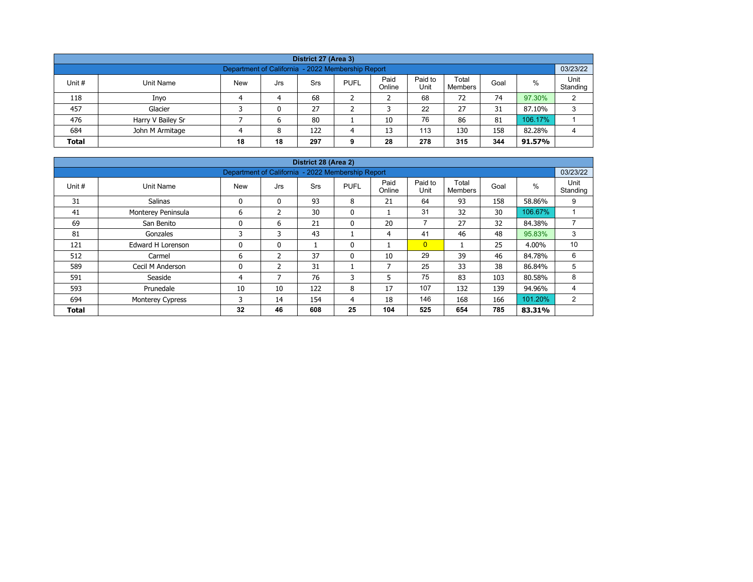| District 27 (Area 3)                                                                                                                                    |                   |  |   |     |   |    |     |     |     |         |   |  |  |  |
|---------------------------------------------------------------------------------------------------------------------------------------------------------|-------------------|--|---|-----|---|----|-----|-----|-----|---------|---|--|--|--|
| Department of California - 2022 Membership Report                                                                                                       |                   |  |   |     |   |    |     |     |     |         |   |  |  |  |
| Paid<br>Paid to<br>Total<br>%<br>Unit #<br><b>New</b><br><b>PUFL</b><br>Unit Name<br>Srs<br>Goal<br>Jrs<br>Unit<br>Online<br>Standing<br><b>Members</b> |                   |  |   |     |   |    |     |     |     |         |   |  |  |  |
| 118                                                                                                                                                     | Inyo              |  | 4 | 68  |   |    | 68  | 72  | 74  | 97.30%  | C |  |  |  |
| 457                                                                                                                                                     | Glacier           |  | 0 | 27  |   |    | 22  | 27  | 31  | 87.10%  | 3 |  |  |  |
| 476                                                                                                                                                     | Harry V Bailey Sr |  | 6 | 80  |   | 10 | 76  | 86  | 81  | 106.17% |   |  |  |  |
| 684                                                                                                                                                     | John M Armitage   |  | 8 | 122 | Δ | 13 | 113 | 130 | 158 | 82.28%  | 4 |  |  |  |
| 18<br>344<br>278<br>28<br>315<br><b>Total</b><br>18<br>297<br>91.57%<br>9                                                                               |                   |  |   |     |   |    |     |     |     |         |   |  |  |  |

| District 28 (Area 2) |                         |                                                   |               |            |              |                          |                 |                         |      |         |                  |  |  |  |
|----------------------|-------------------------|---------------------------------------------------|---------------|------------|--------------|--------------------------|-----------------|-------------------------|------|---------|------------------|--|--|--|
|                      |                         | Department of California - 2022 Membership Report |               |            |              |                          |                 |                         |      |         | 03/23/22         |  |  |  |
| Unit #               | Unit Name               | <b>New</b>                                        | Jrs           | <b>Srs</b> | <b>PUFL</b>  | Paid<br>Online           | Paid to<br>Unit | Total<br><b>Members</b> | Goal | %       | Unit<br>Standing |  |  |  |
| 31                   | <b>Salinas</b>          | 0                                                 | $\mathbf{0}$  | 93         | 8            | 21                       | 64              | 93                      | 158  | 58.86%  | 9                |  |  |  |
| 41                   | Monterey Peninsula      | 6                                                 | $\mathcal{P}$ | 30         | $\mathbf{0}$ |                          | 31              | 32                      | 30   | 106.67% |                  |  |  |  |
| 69                   | San Benito              | 0                                                 | 6             | 21         | 0            | 20                       | $\overline{7}$  | 27                      | 32   | 84.38%  | $\overline{ }$   |  |  |  |
| 81                   | Gonzales                | 3                                                 | 3             | 43         |              | 4                        | 41              | 46                      | 48   | 95.83%  | 3                |  |  |  |
| 121                  | Edward H Lorenson       | 0                                                 | $\mathbf{0}$  |            | 0            |                          | $\overline{0}$  |                         | 25   | 4.00%   | 10               |  |  |  |
| 512                  | Carmel                  | 6                                                 | 2             | 37         | $\mathbf{0}$ | 10                       | 29              | 39                      | 46   | 84.78%  | 6                |  |  |  |
| 589                  | Cecil M Anderson        | 0                                                 | 2             | 31         |              | $\overline{\phantom{a}}$ | 25              | 33                      | 38   | 86.84%  | 5                |  |  |  |
| 591                  | Seaside                 | 4                                                 | 7             | 76         | 3            | 5                        | 75              | 83                      | 103  | 80.58%  | 8                |  |  |  |
| 593                  | Prunedale               | 10                                                | 10            | 122        | 8            | 17                       | 107             | 132                     | 139  | 94.96%  | 4                |  |  |  |
| 694                  | <b>Monterey Cypress</b> | 3                                                 | 14            | 154        | 4            | 18                       | 146             | 168                     | 166  | 101.20% | 2                |  |  |  |
| <b>Total</b>         |                         | 32                                                | 46            | 608        | 25           | 104                      | 525             | 654                     | 785  | 83.31%  |                  |  |  |  |